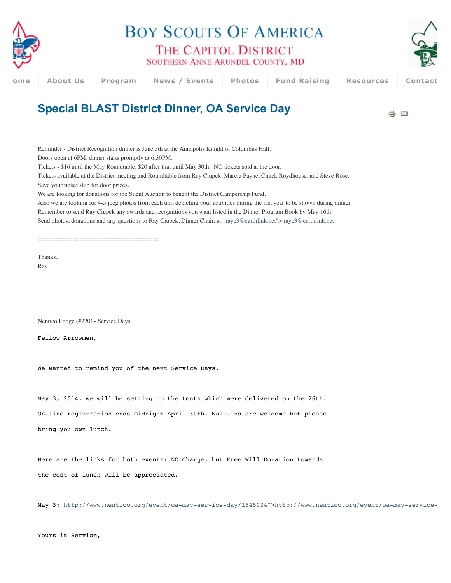

**BOY SCOUTS OF AMERICA** THE CAPITOL DISTRICT

SOUTHERN ANNE ARUNDEL COUNTY, MD



## **H[ome](http://www.thecapitoldistrict.org/) About Us Program News / Events [Photos](http://www.thecapitoldistrict.org/photos) Fund Raising Resources Contacts**

## **Special BLAST District Dinner, OA Service Day**

⊭ ≐

Reminder - District Recognition dinner is June 5th at the Annapolis Knight of Columbus Hall.

Doors open at 6PM, dinner starts promptly at 6:30PM.

Tickets - \$16 until the May Roundtable, \$20 after that until May 30th. NO tickets sold at the door.

Tickets available at the District meeting and Roundtable from Ray Ciupek, Marcia Payne, Chuck Roydhouse, and Steve Rose.

Save your ticket stub for door prizes.

We are looking for donations for the Silent Auction to benefit the District Campership Fund.

Also we are looking for 4-5 jpeg photos from each unit depicting your activities during the last year to be shown during dinner.

Remember to send Ray Ciupek any awards and recognitions you want listed in the Dinner Program Book by May 16th.

Send photos, donations and any questions to Ray Ciupek, Dinner Chair, at [rayc3@earthlink.net"](mailto:rayc3@earthlink.net)> [rayc3@earthlink.net](mailto:rayc3@earthlink.net)

===================================

Thanks, Ray

Nentico Lodge (#220) - Service Days

Fellow Arrowmen,

We wanted to remind you of the next Service Days.

May 3, 2014, we will be setting up the tents which were delivered on the 26th.

On-line registration ends midnight April 30th. Walk-ins are welcome but please bring you own lunch.

Here are the links for both events: NO Charge, but Free Will Donation towards the cost of lunch will be appreciated.

May 3:<http://www.nentico.org/event/oa-may-service-day/1545034>"[>http://www.nentico.org/event/oa-may-service-](http://www.nentico.org/event/oa-may-service-day/1545034)day/1545034